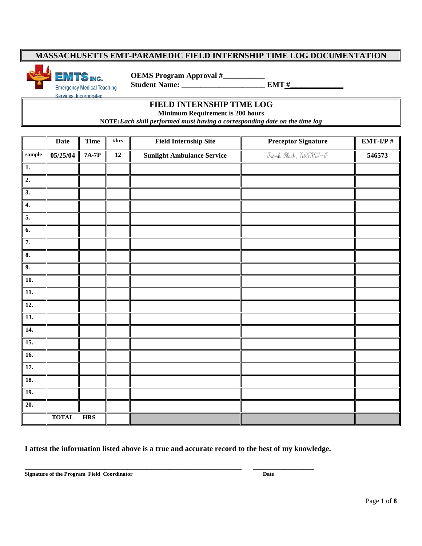**TS** INC.  **Student Name: \_\_\_\_\_\_\_\_\_\_\_\_\_\_\_\_\_\_\_\_\_\_ EMT #\_\_\_\_\_\_\_\_\_\_\_\_\_\_** Services, Incorporated

 **OEMS Program Approval #\_\_\_\_\_\_\_\_\_\_\_**

#### **FIELD INTERNSHIP TIME LOG**

**Minimum Requirement is 200 hours**

**NOTE:***Each skill performed must having a corresponding date on the time log* 

|                           | <b>Date</b>  | <b>Time</b> | #hrs            | <b>Field Internship Site</b>      | <b>Preceptor Signature</b>                                                    | $EMT-I/P#$ |
|---------------------------|--------------|-------------|-----------------|-----------------------------------|-------------------------------------------------------------------------------|------------|
| $\textbf{sample}$         | 05/25/04     | $7A-7P$     | $\overline{12}$ | <b>Sunlight Ambulance Service</b> | Frank Black, $\eta \mathbb{R} \mathbb{C} \mathbb{M} \mathbb{C} \rightarrow 0$ | 546573     |
| $\mathbf{1}$ .            |              |             |                 |                                   |                                                                               |            |
| $\overline{2}$ .          |              |             |                 |                                   |                                                                               |            |
| $\overline{3}$ .          |              |             |                 |                                   |                                                                               |            |
| $\overline{4}$ .          |              |             |                 |                                   |                                                                               |            |
| 5.                        |              |             |                 |                                   |                                                                               |            |
| 6.                        |              |             |                 |                                   |                                                                               |            |
| 7.                        |              |             |                 |                                   |                                                                               |            |
| $\overline{\mathbf{8}}$ . |              |             |                 |                                   |                                                                               |            |
| 9.                        |              |             |                 |                                   |                                                                               |            |
| $\overline{10}$ .         |              |             |                 |                                   |                                                                               |            |
| 11.                       |              |             |                 |                                   |                                                                               |            |
| 12.                       |              |             |                 |                                   |                                                                               |            |
| $\overline{13}$ .         |              |             |                 |                                   |                                                                               |            |
| 14.                       |              |             |                 |                                   |                                                                               |            |
| 15.                       |              |             |                 |                                   |                                                                               |            |
| $\overline{16}$ .         |              |             |                 |                                   |                                                                               |            |
| 17.                       |              |             |                 |                                   |                                                                               |            |
| 18.                       |              |             |                 |                                   |                                                                               |            |
| <b>19.</b>                |              |             |                 |                                   |                                                                               |            |
| 20.                       |              |             |                 |                                   |                                                                               |            |
|                           | <b>TOTAL</b> | <b>HRS</b>  |                 |                                   |                                                                               |            |

**I attest the information listed above is a true and accurate record to the best of my knowledge.**

**Signature of the Program Field Coordinator Date**

**\_\_\_\_\_\_\_\_\_\_\_\_\_\_\_\_\_\_\_\_\_\_\_\_\_\_\_\_\_\_\_\_\_\_\_\_\_\_\_\_\_\_\_\_\_\_\_\_\_\_\_\_\_\_\_\_\_ \_\_\_\_\_\_\_\_\_\_\_\_\_\_\_\_**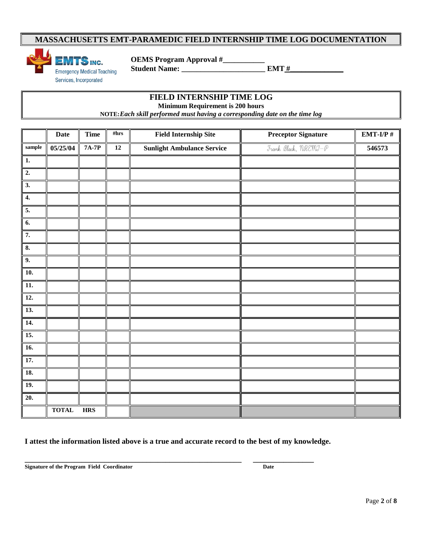

 **OEMS Program Approval #\_\_\_\_\_\_\_\_\_\_\_**

**FIELD INTERNSHIP TIME LOG** 

**Minimum Requirement is 200 hours**

**NOTE:***Each skill performed must having a corresponding date on the time log* 

|                           | <b>Date</b>  | <b>Time</b>  | #hrs | <b>Field Internship Site</b>      | <b>Preceptor Signature</b>                                                         | $EMT-I/P#$ |
|---------------------------|--------------|--------------|------|-----------------------------------|------------------------------------------------------------------------------------|------------|
| $\mbox{sample}$           | 05/25/04     | <b>7A-7P</b> | 12   | <b>Sunlight Ambulance Service</b> | Frank Black, $\mathcal{H}\mathcal{R}\mathcal{E}\mathcal{H}\mathcal{I}-\mathcal{P}$ | 546573     |
| $\boxed{1}$               |              |              |      |                                   |                                                                                    |            |
| $\overline{2}$ .          |              |              |      |                                   |                                                                                    |            |
| $\overline{3}$ .          |              |              |      |                                   |                                                                                    |            |
| $\overline{4}$ .          |              |              |      |                                   |                                                                                    |            |
| 5.                        |              |              |      |                                   |                                                                                    |            |
| $\overline{6}$ .          |              |              |      |                                   |                                                                                    |            |
| 7.                        |              |              |      |                                   |                                                                                    |            |
| $\overline{\mathbf{8}}$ . |              |              |      |                                   |                                                                                    |            |
| 9.                        |              |              |      |                                   |                                                                                    |            |
| <b>10.</b>                |              |              |      |                                   |                                                                                    |            |
| 11.                       |              |              |      |                                   |                                                                                    |            |
| $\overline{12}$ .         |              |              |      |                                   |                                                                                    |            |
| 13.                       |              |              |      |                                   |                                                                                    |            |
| 14.                       |              |              |      |                                   |                                                                                    |            |
| 15.                       |              |              |      |                                   |                                                                                    |            |
| 16.                       |              |              |      |                                   |                                                                                    |            |
| 17.                       |              |              |      |                                   |                                                                                    |            |
| <b>18.</b>                |              |              |      |                                   |                                                                                    |            |
| <b>19.</b>                |              |              |      |                                   |                                                                                    |            |
| $\overline{20}$ .         |              |              |      |                                   |                                                                                    |            |
|                           | <b>TOTAL</b> | <b>HRS</b>   |      |                                   |                                                                                    |            |

**I attest the information listed above is a true and accurate record to the best of my knowledge.**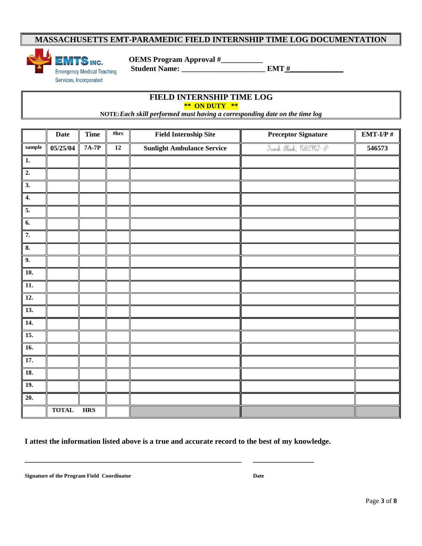

 **OEMS Program Approval #\_\_\_\_\_\_\_\_\_\_\_**

**FIELD INTERNSHIP TIME LOG \*\* ON DUTY \*\***

**NOTE:***Each skill performed must having a corresponding date on the time log* 

|                           | <b>Date</b>  | <b>Time</b>  | #hrs | <b>Field Internship Site</b>      | <b>Preceptor Signature</b>                                                         | $EMT-I/P$ # |
|---------------------------|--------------|--------------|------|-----------------------------------|------------------------------------------------------------------------------------|-------------|
| $\bf{sample}$             | 05/25/04     | <b>7A-7P</b> | 12   | <b>Sunlight Ambulance Service</b> | Frank Black, $\mathcal{H}\mathcal{R}\mathcal{E}\mathcal{H}\mathcal{I}-\mathcal{P}$ | 546573      |
| 1.                        |              |              |      |                                   |                                                                                    |             |
| $\overline{2}$ .          |              |              |      |                                   |                                                                                    |             |
| $\overline{\mathbf{3}}$ . |              |              |      |                                   |                                                                                    |             |
| $\overline{4}$ .          |              |              |      |                                   |                                                                                    |             |
| 5.                        |              |              |      |                                   |                                                                                    |             |
| $\overline{6}$ .          |              |              |      |                                   |                                                                                    |             |
| 7.                        |              |              |      |                                   |                                                                                    |             |
| $\overline{\mathbf{8}}$ . |              |              |      |                                   |                                                                                    |             |
| 9.                        |              |              |      |                                   |                                                                                    |             |
| 10.                       |              |              |      |                                   |                                                                                    |             |
| 11.                       |              |              |      |                                   |                                                                                    |             |
| $\overline{12}$ .         |              |              |      |                                   |                                                                                    |             |
| 13.                       |              |              |      |                                   |                                                                                    |             |
| 14.                       |              |              |      |                                   |                                                                                    |             |
| $\overline{15}$ .         |              |              |      |                                   |                                                                                    |             |
| $\overline{16}$ .         |              |              |      |                                   |                                                                                    |             |
| 17.                       |              |              |      |                                   |                                                                                    |             |
| 18.                       |              |              |      |                                   |                                                                                    |             |
| 19.                       |              |              |      |                                   |                                                                                    |             |
| $\overline{20}$ .         |              |              |      |                                   |                                                                                    |             |
|                           | <b>TOTAL</b> | <b>HRS</b>   |      |                                   |                                                                                    |             |

**I attest the information listed above is a true and accurate record to the best of my knowledge.**

**\_\_\_\_\_\_\_\_\_\_\_\_\_\_\_\_\_\_\_\_\_\_\_\_\_\_\_\_\_\_\_\_\_\_\_\_\_\_\_\_\_\_\_\_\_\_\_\_\_\_\_\_\_\_\_\_\_ \_\_\_\_\_\_\_\_\_\_\_\_\_\_\_\_**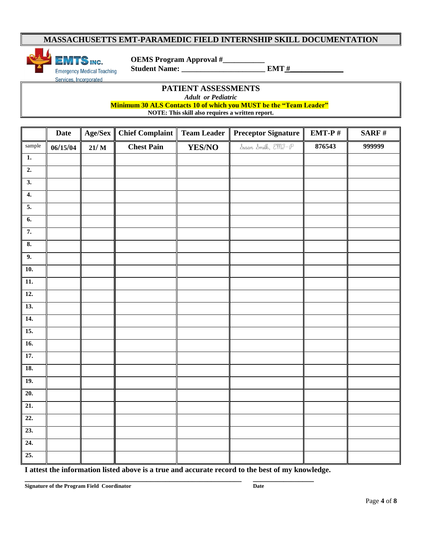

 **OEMS Program Approval #\_\_\_\_\_\_\_\_\_\_\_**

**PATIENT ASSESSMENTS** *Adult or Pediatric* 

 **Minimum 30 ALS Contacts 10 of which you MUST be the "Team Leader"** 

**NOTE: This skill also requires a written report.**

|                   | Date     | Age/Sex | <b>Chief Complaint</b> | <b>Team Leader</b> | <b>Preceptor Signature</b> | $EMT-P#$ | SARF $#$ |
|-------------------|----------|---------|------------------------|--------------------|----------------------------|----------|----------|
| sample            | 06/15/04 | 21/M    | <b>Chest Pain</b>      | YES/NO             | Susan Smith, EMI-P         | 876543   | 999999   |
| $\overline{1}$ .  |          |         |                        |                    |                            |          |          |
| $\overline{2}$ .  |          |         |                        |                    |                            |          |          |
| $\overline{3}$ .  |          |         |                        |                    |                            |          |          |
| $\overline{4}$ .  |          |         |                        |                    |                            |          |          |
| $\overline{5}$ .  |          |         |                        |                    |                            |          |          |
| 6.                |          |         |                        |                    |                            |          |          |
| 7.                |          |         |                        |                    |                            |          |          |
| 8.                |          |         |                        |                    |                            |          |          |
| 9.                |          |         |                        |                    |                            |          |          |
| $\overline{10}$ . |          |         |                        |                    |                            |          |          |
| 11.               |          |         |                        |                    |                            |          |          |
| 12.               |          |         |                        |                    |                            |          |          |
| 13.               |          |         |                        |                    |                            |          |          |
| 14.               |          |         |                        |                    |                            |          |          |
| 15.               |          |         |                        |                    |                            |          |          |
| 16.               |          |         |                        |                    |                            |          |          |
| 17.               |          |         |                        |                    |                            |          |          |
| 18.               |          |         |                        |                    |                            |          |          |
| <b>19.</b>        |          |         |                        |                    |                            |          |          |
| 20.               |          |         |                        |                    |                            |          |          |
| 21.               |          |         |                        |                    |                            |          |          |
| $\overline{22}$ . |          |         |                        |                    |                            |          |          |
| $\overline{23}$ . |          |         |                        |                    |                            |          |          |
| 24.               |          |         |                        |                    |                            |          |          |
| 25.               |          |         |                        |                    |                            |          |          |

**I attest the information listed above is a true and accurate record to the best of my knowledge.**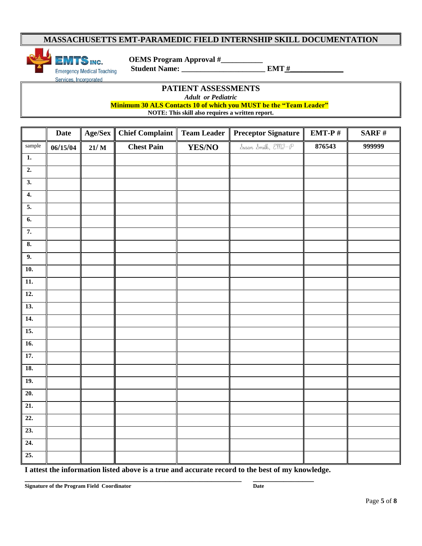

 **OEMS Program Approval #\_\_\_\_\_\_\_\_\_\_\_**

**PATIENT ASSESSMENTS** *Adult or Pediatric* 

 **Minimum 30 ALS Contacts 10 of which you MUST be the "Team Leader"** 

**NOTE: This skill also requires a written report.**

|                           | Date     | Age/Sex | <b>Chief Complaint</b> | <b>Team Leader</b> | <b>Preceptor Signature</b>                                                                                                                                                                                                                                                                                                                                                                                                      | EMT-P $#$ | $\operatorname{\bf SARF}$ # |
|---------------------------|----------|---------|------------------------|--------------------|---------------------------------------------------------------------------------------------------------------------------------------------------------------------------------------------------------------------------------------------------------------------------------------------------------------------------------------------------------------------------------------------------------------------------------|-----------|-----------------------------|
| sample                    | 06/15/04 | $21/$ M | <b>Chest Pain</b>      | YES/NO             | $\begin{minipage}{.4\linewidth} \textit{D} \textit{w} \textit{w} \textit{w} \textit{w} \textit{w} \textit{w} \textit{w} \textit{w} \textit{w} \textit{w} \textit{w} \textit{w} \textit{w} \textit{w} \textit{w} \textit{w} \textit{w} \textit{w} \textit{w} \textit{w} \textit{w} \textit{w} \textit{w} \textit{w} \textit{w} \textit{w} \textit{w} \textit{w} \textit{w} \textit{w} \textit{w} \textit{w} \textit{w} \textit{$ | 876543    | 999999                      |
| $\mathbf{1}$ .            |          |         |                        |                    |                                                                                                                                                                                                                                                                                                                                                                                                                                 |           |                             |
| $\overline{2}$ .          |          |         |                        |                    |                                                                                                                                                                                                                                                                                                                                                                                                                                 |           |                             |
| $\overline{3}$ .          |          |         |                        |                    |                                                                                                                                                                                                                                                                                                                                                                                                                                 |           |                             |
| $\overline{4}$ .          |          |         |                        |                    |                                                                                                                                                                                                                                                                                                                                                                                                                                 |           |                             |
| $\overline{5}$ .          |          |         |                        |                    |                                                                                                                                                                                                                                                                                                                                                                                                                                 |           |                             |
| $\overline{6}$ .          |          |         |                        |                    |                                                                                                                                                                                                                                                                                                                                                                                                                                 |           |                             |
| 7.                        |          |         |                        |                    |                                                                                                                                                                                                                                                                                                                                                                                                                                 |           |                             |
| $\overline{\mathbf{8}}$ . |          |         |                        |                    |                                                                                                                                                                                                                                                                                                                                                                                                                                 |           |                             |
| 9.                        |          |         |                        |                    |                                                                                                                                                                                                                                                                                                                                                                                                                                 |           |                             |
| $\overline{10}$ .         |          |         |                        |                    |                                                                                                                                                                                                                                                                                                                                                                                                                                 |           |                             |
| $\overline{11}$ .         |          |         |                        |                    |                                                                                                                                                                                                                                                                                                                                                                                                                                 |           |                             |
| <b>12.</b>                |          |         |                        |                    |                                                                                                                                                                                                                                                                                                                                                                                                                                 |           |                             |
| $\overline{13}$ .         |          |         |                        |                    |                                                                                                                                                                                                                                                                                                                                                                                                                                 |           |                             |
| $\overline{14}$ .         |          |         |                        |                    |                                                                                                                                                                                                                                                                                                                                                                                                                                 |           |                             |
| 15.                       |          |         |                        |                    |                                                                                                                                                                                                                                                                                                                                                                                                                                 |           |                             |
| 16.                       |          |         |                        |                    |                                                                                                                                                                                                                                                                                                                                                                                                                                 |           |                             |
| 17.                       |          |         |                        |                    |                                                                                                                                                                                                                                                                                                                                                                                                                                 |           |                             |
| <b>18.</b>                |          |         |                        |                    |                                                                                                                                                                                                                                                                                                                                                                                                                                 |           |                             |
| <b>19.</b>                |          |         |                        |                    |                                                                                                                                                                                                                                                                                                                                                                                                                                 |           |                             |
| $\overline{20}$ .         |          |         |                        |                    |                                                                                                                                                                                                                                                                                                                                                                                                                                 |           |                             |
| 21.                       |          |         |                        |                    |                                                                                                                                                                                                                                                                                                                                                                                                                                 |           |                             |
| 22.                       |          |         |                        |                    |                                                                                                                                                                                                                                                                                                                                                                                                                                 |           |                             |
| 23.                       |          |         |                        |                    |                                                                                                                                                                                                                                                                                                                                                                                                                                 |           |                             |
| 24.                       |          |         |                        |                    |                                                                                                                                                                                                                                                                                                                                                                                                                                 |           |                             |
| 25.                       |          |         |                        |                    |                                                                                                                                                                                                                                                                                                                                                                                                                                 |           |                             |

**I attest the information listed above is a true and accurate record to the best of my knowledge.**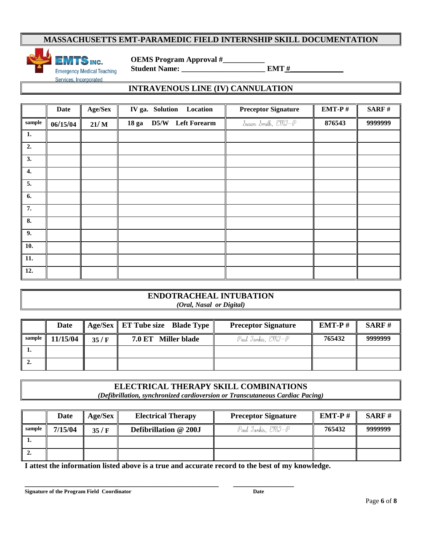

 **OEMS Program Approval #\_\_\_\_\_\_\_\_\_\_\_**

### **INTRAVENOUS LINE (IV) CANNULATION**

|                    | <b>Date</b> | Age/Sex |  | IV ga. Solution Location |  | <b>Preceptor Signature</b> | EMT-P $#$ | SARF#   |
|--------------------|-------------|---------|--|--------------------------|--|----------------------------|-----------|---------|
| $\bf{sample}$      | 06/15/04    | 21/M    |  | 18 ga D5/W Left Forearm  |  | Susan Smith, EMJ-P         | 876543    | 9999999 |
| 1.                 |             |         |  |                          |  |                            |           |         |
| 2.                 |             |         |  |                          |  |                            |           |         |
| 3.                 |             |         |  |                          |  |                            |           |         |
| $\boldsymbol{4}$ . |             |         |  |                          |  |                            |           |         |
| $\overline{5}$ .   |             |         |  |                          |  |                            |           |         |
| 6.                 |             |         |  |                          |  |                            |           |         |
| 7.                 |             |         |  |                          |  |                            |           |         |
| 8.                 |             |         |  |                          |  |                            |           |         |
| $\overline{9}$ .   |             |         |  |                          |  |                            |           |         |
| 10.                |             |         |  |                          |  |                            |           |         |
| 11.                |             |         |  |                          |  |                            |           |         |
| 12.                |             |         |  |                          |  |                            |           |         |

#### **ENDOTRACHEAL INTUBATION** *(Oral, Nasal or Digital)*

|        | Date     |      | Age/Sex ET Tube size Blade Type | <b>Preceptor Signature</b> | $EMT-P#$ | SARF#   |
|--------|----------|------|---------------------------------|----------------------------|----------|---------|
| sample | 11/15/04 | 35/F | 7.0 ET Miller blade             | Paul Tankis, EMI-P         | 765432   | 9999999 |
| . .    |          |      |                                 |                            |          |         |
| ٠.     |          |      |                                 |                            |          |         |

# **ELECTRICAL THERAPY SKILL COMBINATIONS**

*(Defibrillation, synchronized cardioversion or Transcutaneous Cardiac Pacing)*

|        | <b>Date</b> | Age/Sex | <b>Electrical Therapy</b> | <b>Preceptor Signature</b> | $EMT-P#$ | SARF#   |
|--------|-------------|---------|---------------------------|----------------------------|----------|---------|
| sample | 7/15/04     | 35/F    | Defibrillation @ 200J     | Paul Tankis, EMI-P         | 765432   | 9999999 |
|        |             |         |                           |                            |          |         |
| z.     |             |         |                           |                            |          |         |

**I attest the information listed above is a true and accurate record to the best of my knowledge.**

**\_\_\_\_\_\_\_\_\_\_\_\_\_\_\_\_\_\_\_\_\_\_\_\_\_\_\_\_\_\_\_\_\_\_\_\_\_\_\_\_\_\_\_\_\_\_\_\_\_\_\_ \_\_\_\_\_\_\_\_\_\_\_\_\_\_\_\_**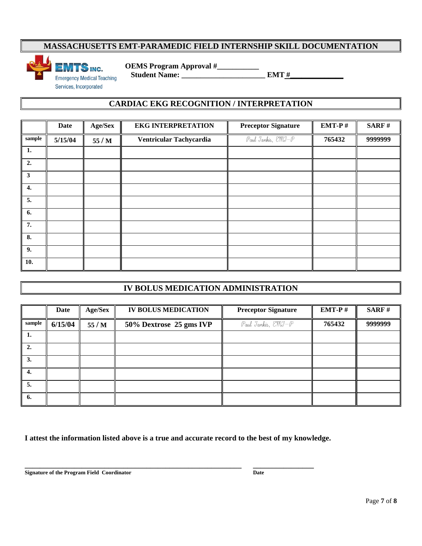

 **OEMS Program Approval #\_\_\_\_\_\_\_\_\_\_\_**

### **CARDIAC EKG RECOGNITION / INTERPRETATION**

|              | <b>Date</b> | Age/Sex | <b>EKG INTERPRETATION</b> | <b>Preceptor Signature</b> | EMT-P $#$ | SARF#   |
|--------------|-------------|---------|---------------------------|----------------------------|-----------|---------|
| sample       | 5/15/04     | 55 / M  | Ventricular Tachycardia   | Paul Tankis, EMI-P         | 765432    | 9999999 |
| 1.           |             |         |                           |                            |           |         |
| 2.           |             |         |                           |                            |           |         |
| $\mathbf{3}$ |             |         |                           |                            |           |         |
| 4.           |             |         |                           |                            |           |         |
| 5.           |             |         |                           |                            |           |         |
| 6.           |             |         |                           |                            |           |         |
| 7.           |             |         |                           |                            |           |         |
| 8.           |             |         |                           |                            |           |         |
| 9.           |             |         |                           |                            |           |         |
| 10.          |             |         |                           |                            |           |         |

# **IV BOLUS MEDICATION ADMINISTRATION**

|        | Date    | Age/Sex | <b>IV BOLUS MEDICATION</b> | <b>Preceptor Signature</b> | $EMT-P#$ | <b>SARF#</b> |
|--------|---------|---------|----------------------------|----------------------------|----------|--------------|
| sample | 6/15/04 | 55/M    | 50% Dextrose 25 gms IVP    | Paul Jankis, EMI-P         | 765432   | 9999999      |
| 1.     |         |         |                            |                            |          |              |
| 2.     |         |         |                            |                            |          |              |
| 3.     |         |         |                            |                            |          |              |
| 4.     |         |         |                            |                            |          |              |
| 5.     |         |         |                            |                            |          |              |
| -6.    |         |         |                            |                            |          |              |

**I attest the information listed above is a true and accurate record to the best of my knowledge.**

**\_\_\_\_\_\_\_\_\_\_\_\_\_\_\_\_\_\_\_\_\_\_\_\_\_\_\_\_\_\_\_\_\_\_\_\_\_\_\_\_\_\_\_\_\_\_\_\_\_\_\_\_\_\_\_\_\_ \_\_\_\_\_\_\_\_\_\_\_\_\_\_\_\_**